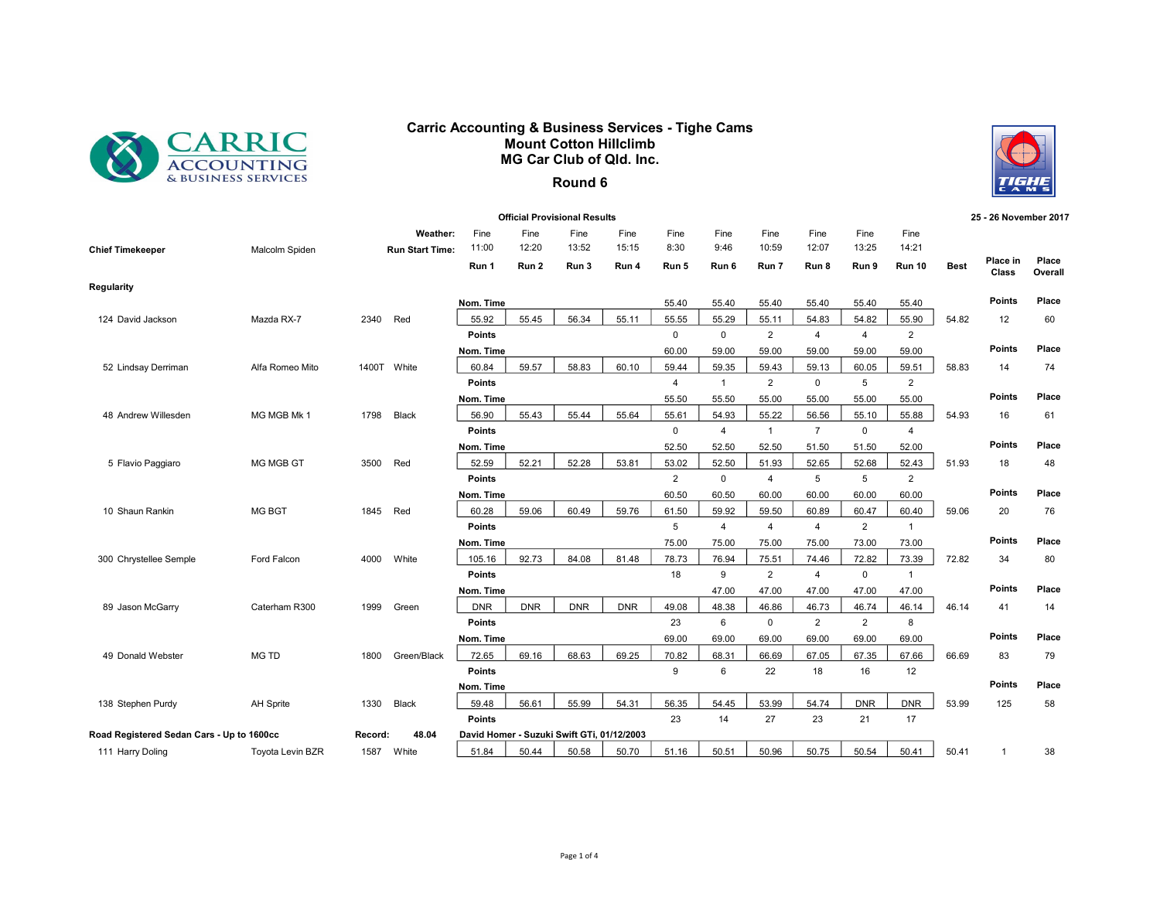

## Carric Accounting & Business Services - Tighe Cams Mount Cotton Hillclimb MG Car Club of Qld. Inc.



## Round 6

|                                           |                  |         |                                    |                 |               | <b>Official Provisional Results</b>        |               |                    |                |                         |                         |                |                         |             | 25 - 26 November 2017 |                  |
|-------------------------------------------|------------------|---------|------------------------------------|-----------------|---------------|--------------------------------------------|---------------|--------------------|----------------|-------------------------|-------------------------|----------------|-------------------------|-------------|-----------------------|------------------|
| <b>Chief Timekeeper</b>                   | Malcolm Spiden   |         | Weather:<br><b>Run Start Time:</b> | Fine<br>11:00   | Fine<br>12:20 | Fine<br>13:52                              | Fine<br>15:15 | Fine<br>8:30       | Fine<br>9:46   | Fine<br>10:59           | Fine<br>12:07           | Fine<br>13:25  | Fine<br>14:21           |             |                       |                  |
|                                           |                  |         |                                    | Run 1           | Run 2         | Run 3                                      | Run 4         | Run 5              | Run 6          | Run 7                   | Run 8                   | Run 9          | Run 10                  | <b>Best</b> | Place in<br>Class     | Place<br>Overall |
| Regularity                                |                  |         |                                    |                 |               |                                            |               |                    |                |                         |                         |                |                         |             |                       |                  |
|                                           |                  |         |                                    | Nom. Time       |               |                                            |               | 55.40              | 55.40          | 55.40                   | 55.40                   | 55.40          | 55.40                   |             | <b>Points</b>         | Place            |
| 124 David Jackson                         | Mazda RX-7       | 2340    | Red                                | 55.92           | 55.45         | 56.34                                      | 55.11         | 55.55              | 55.29          | 55.11                   | 54.83                   | 54.82          | 55.90                   | 54.82       | 12                    | 60               |
|                                           |                  |         |                                    | <b>Points</b>   |               |                                            |               | $\mathbf 0$        | $\mathbf 0$    | $\overline{2}$          | $\overline{4}$          | $\overline{4}$ | $\overline{2}$          |             |                       |                  |
|                                           |                  |         |                                    | Nom. Time       |               |                                            |               | 60.00              | 59.00          | 59.00                   | 59.00                   | 59.00          | 59.00                   |             | Points                | Place            |
| 52 Lindsay Derriman                       | Alfa Romeo Mito  |         | 1400T White                        | 60.84           | 59.57         | 58.83                                      | 60.10         | 59.44              | 59.35          | 59.43                   | 59.13                   | 60.05          | 59.51                   | 58.83       | 14                    | 74               |
|                                           |                  |         |                                    | <b>Points</b>   |               |                                            |               | $\overline{4}$     | $\mathbf{1}$   | $\overline{2}$          | $\mathbf 0$             | 5              | $\overline{2}$          |             | <b>Points</b>         | Place            |
|                                           |                  |         |                                    | Nom. Time       |               |                                            |               | 55.50              | 55.50          | 55.00                   | 55.00                   | 55.00          | 55.00                   |             |                       |                  |
| 48 Andrew Willesden                       | MG MGB Mk 1      | 1798    | Black                              | 56.90<br>Points | 55.43         | 55.44                                      | 55.64         | 55.61<br>$\pmb{0}$ | 54.93<br>4     | 55.22<br>$\overline{1}$ | 56.56<br>$\overline{7}$ | 55.10<br>0     | 55.88<br>$\overline{4}$ | 54.93       | 16                    | 61               |
|                                           |                  |         |                                    | Nom. Time       |               |                                            |               | 52.50              | 52.50          | 52.50                   | 51.50                   | 51.50          | 52.00                   |             | Points                | Place            |
| 5 Flavio Paggiaro                         | MG MGB GT        | 3500    | Red                                | 52.59           | 52.21         | 52.28                                      | 53.81         | 53.02              | 52.50          | 51.93                   | 52.65                   | 52.68          | 52.43                   | 51.93       | 18                    | 48               |
|                                           |                  |         |                                    | <b>Points</b>   |               |                                            |               | $\overline{2}$     | $\mathbf 0$    | $\overline{4}$          | 5                       | 5              | $\overline{2}$          |             |                       |                  |
|                                           |                  |         |                                    | Nom. Time       |               |                                            |               | 60.50              | 60.50          | 60.00                   | 60.00                   | 60.00          | 60.00                   |             | Points                | Place            |
| 10 Shaun Rankin                           | <b>MG BGT</b>    | 1845    | Red                                | 60.28           | 59.06         | 60.49                                      | 59.76         | 61.50              | 59.92          | 59.50                   | 60.89                   | 60.47          | 60.40                   | 59.06       | 20                    | 76               |
|                                           |                  |         |                                    | <b>Points</b>   |               |                                            |               | 5                  | $\overline{4}$ | 4                       | 4                       | $\overline{2}$ | $\mathbf{1}$            |             |                       |                  |
|                                           |                  |         |                                    | Nom. Time       |               |                                            |               | 75.00              | 75.00          | 75.00                   | 75.00                   | 73.00          | 73.00                   |             | <b>Points</b>         | Place            |
| 300 Chrystellee Semple                    | Ford Falcon      | 4000    | White                              | 105.16          | 92.73         | 84.08                                      | 81.48         | 78.73              | 76.94          | 75.51                   | 74.46                   | 72.82          | 73.39                   | 72.82       | 34                    | 80               |
|                                           |                  |         |                                    | <b>Points</b>   |               |                                            |               | 18                 | 9              | $\overline{2}$          | 4                       | $\mathbf 0$    | $\mathbf{1}$            |             |                       |                  |
|                                           |                  |         |                                    | Nom. Time       |               |                                            |               |                    | 47.00          | 47.00                   | 47.00                   | 47.00          | 47.00                   |             | Points                | Place            |
| 89 Jason McGarry                          | Caterham R300    | 1999    | Green                              | <b>DNR</b>      | <b>DNR</b>    | <b>DNR</b>                                 | <b>DNR</b>    | 49.08              | 48.38          | 46.86                   | 46.73                   | 46.74          | 46.14                   | 46.14       | 41                    | 14               |
|                                           |                  |         |                                    | Points          |               |                                            |               | 23                 | 6              | $\mathbf 0$             | $\overline{2}$          | $\overline{2}$ | 8                       |             |                       |                  |
|                                           |                  |         |                                    | Nom. Time       |               |                                            |               | 69.00              | 69.00          | 69.00                   | 69.00                   | 69.00          | 69.00                   |             | <b>Points</b>         | Place            |
| 49 Donald Webster                         | <b>MG TD</b>     | 1800    | Green/Black                        | 72.65           | 69.16         | 68.63                                      | 69.25         | 70.82              | 68.31          | 66.69                   | 67.05                   | 67.35          | 67.66                   | 66.69       | 83                    | 79               |
|                                           |                  |         |                                    | <b>Points</b>   |               |                                            |               | 9                  | 6              | 22                      | 18                      | 16             | 12                      |             |                       |                  |
|                                           |                  |         |                                    | Nom. Time       |               |                                            |               |                    |                |                         |                         |                |                         |             | Points                | Place            |
| 138 Stephen Purdy                         | <b>AH Sprite</b> | 1330    | Black                              | 59.48           | 56.61         | 55.99                                      | 54.31         | 56.35              | 54.45          | 53.99                   | 54.74                   | <b>DNR</b>     | <b>DNR</b>              | 53.99       | 125                   | 58               |
|                                           |                  |         |                                    | <b>Points</b>   |               |                                            |               | 23                 | 14             | 27                      | 23                      | 21             | 17                      |             |                       |                  |
| Road Registered Sedan Cars - Up to 1600cc |                  | Record: | 48.04                              |                 |               | David Homer - Suzuki Swift GTi, 01/12/2003 |               |                    |                |                         |                         |                |                         |             |                       |                  |
| 111 Harry Doling                          | Toyota Levin BZR | 1587    | White                              | 51.84           | 50.44         | 50.58                                      | 50.70         | 51.16              | 50.51          | 50.96                   | 50.75                   | 50.54          | 50.41                   | 50.41       | $\overline{1}$        | 38               |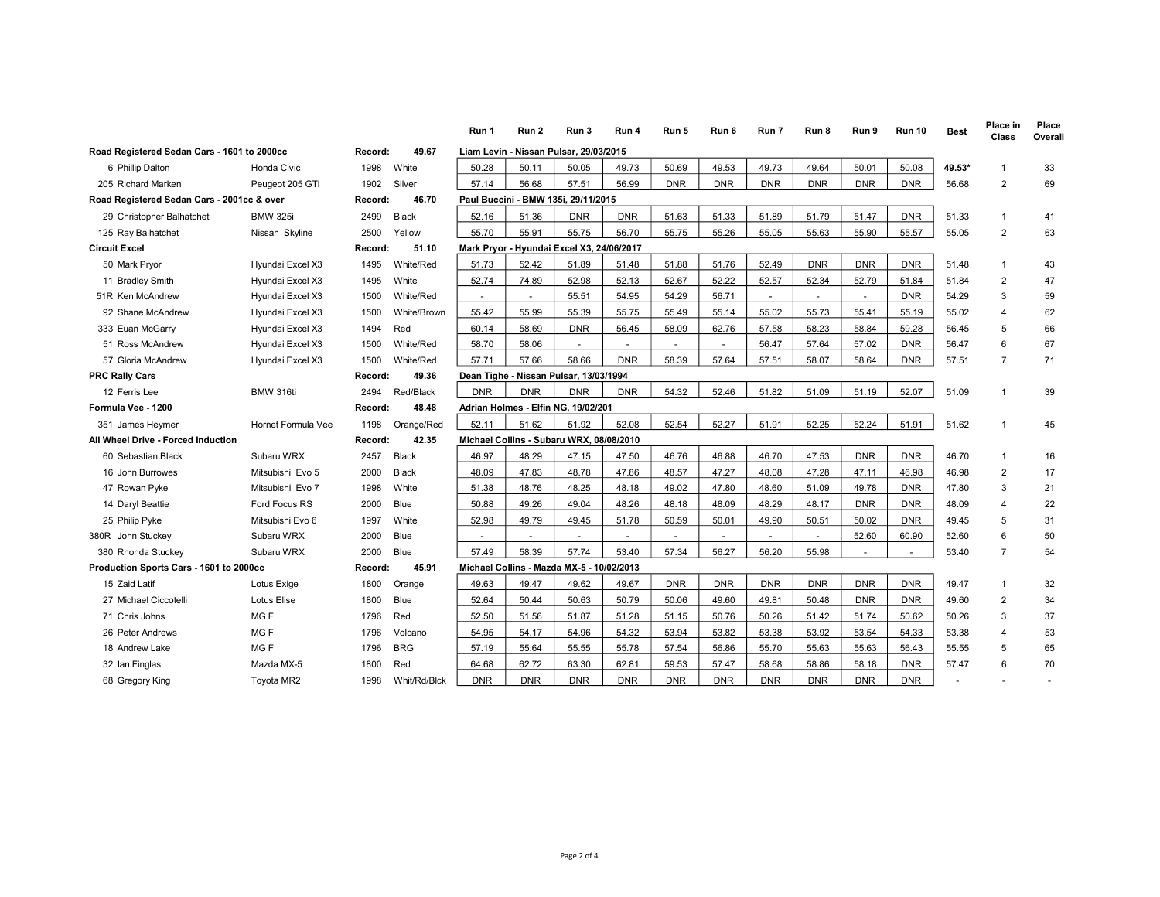|                                             |                    |         |                  | Run 1                                     | Run 2      | Run 3                                    | Run 4                    | Run 5      | Run 6      | Run 7      | Run 8      | Run 9      | <b>Run 10</b> | <b>Best</b> | Place in<br>Class | Place<br>Overall |
|---------------------------------------------|--------------------|---------|------------------|-------------------------------------------|------------|------------------------------------------|--------------------------|------------|------------|------------|------------|------------|---------------|-------------|-------------------|------------------|
| Road Registered Sedan Cars - 1601 to 2000cc |                    | Record: | 49.67            |                                           |            | Liam Levin - Nissan Pulsar, 29/03/2015   |                          |            |            |            |            |            |               |             |                   |                  |
| 6 Phillip Dalton                            | Honda Civic        | 1998    | White            | 50.28                                     | 50.11      | 50.05                                    | 49.73                    | 50.69      | 49.53      | 49.73      | 49.64      | 50.01      | 50.08         | 49.53*      | $\overline{1}$    | 33               |
| 205 Richard Marken                          | Peugeot 205 GTi    | 1902    | Silver           | 57.14                                     | 56.68      | 57.51                                    | 56.99                    | <b>DNR</b> | <b>DNR</b> | <b>DNR</b> | <b>DNR</b> | <b>DNR</b> | <b>DNR</b>    | 56.68       | $\overline{2}$    | 69               |
| Road Registered Sedan Cars - 2001cc & over  |                    | Record: | 46.70            |                                           |            | Paul Buccini - BMW 135i, 29/11/2015      |                          |            |            |            |            |            |               |             |                   |                  |
| 29 Christopher Balhatchet                   | <b>BMW 325i</b>    | 2499    | <b>Black</b>     | 52.16                                     | 51.36      | <b>DNR</b>                               | <b>DNR</b>               | 51.63      | 51.33      | 51.89      | 51.79      | 51.47      | <b>DNR</b>    | 51.33       | $\mathbf{1}$      | 41               |
| 125 Ray Balhatchet                          | Nissan Skyline     | 2500    | Yellow           | 55.70                                     | 55.91      | 55.75                                    | 56.70                    | 55.75      | 55.26      | 55.05      | 55.63      | 55.90      | 55.57         | 55.05       | $\overline{2}$    | 63               |
| <b>Circuit Excel</b><br>51.10<br>Record:    |                    |         |                  | Mark Pryor - Hyundai Excel X3, 24/06/2017 |            |                                          |                          |            |            |            |            |            |               |             |                   |                  |
| 50 Mark Pryor                               | Hyundai Excel X3   | 1495    | White/Red        | 51.73                                     | 52.42      | 51.89                                    | 51.48                    | 51.88      | 51.76      | 52.49      | <b>DNR</b> | <b>DNR</b> | <b>DNR</b>    | 51.48       | $\mathbf{1}$      | 43               |
| 11 Bradley Smith                            | Hyundai Excel X3   | 1495    | White            | 52.74                                     | 74.89      | 52.98                                    | 52.13                    | 52.67      | 52.22      | 52.57      | 52.34      | 52.79      | 51.84         | 51.84       | 2                 | 47               |
| 51R Ken McAndrew                            | Hyundai Excel X3   | 1500    | White/Red        | $\sim$                                    | $\sim$     | 55.51                                    | 54.95                    | 54.29      | 56.71      | $\sim$     | $\sim$     | $\sim$     | <b>DNR</b>    | 54.29       | 3                 | 59               |
| 92 Shane McAndrew                           | Hyundai Excel X3   | 1500    | White/Brown      | 55.42                                     | 55.99      | 55.39                                    | 55.75                    | 55.49      | 55.14      | 55.02      | 55.73      | 55.41      | 55.19         | 55.02       | 4                 | 62               |
| 333 Euan McGarry                            | Hyundai Excel X3   | 1494    | Red              | 60.14                                     | 58.69      | <b>DNR</b>                               | 56.45                    | 58.09      | 62.76      | 57.58      | 58.23      | 58.84      | 59.28         | 56.45       | 5                 | 66               |
| 51 Ross McAndrew                            | Hyundai Excel X3   | 1500    | <b>White/Red</b> | 58.70                                     | 58.06      | $\sim$                                   | $\overline{\phantom{a}}$ |            | $\sim$     | 56.47      | 57.64      | 57.02      | DNR           | 56.47       | 6                 | 67               |
| 57 Gloria McAndrew                          | Hyundai Excel X3   | 1500    | White/Red        | 57.71                                     | 57.66      | 58.66                                    | <b>DNR</b>               | 58.39      | 57.64      | 57.51      | 58.07      | 58.64      | <b>DNR</b>    | 57.51       | $\overline{7}$    | 71               |
| <b>PRC Rally Cars</b>                       |                    | Record: | 49.36            |                                           |            | Dean Tighe - Nissan Pulsar, 13/03/1994   |                          |            |            |            |            |            |               |             |                   |                  |
| 12 Ferris Lee                               | BMW 316ti          | 2494    | Red/Black        | <b>DNR</b>                                | <b>DNR</b> | <b>DNR</b>                               | <b>DNR</b>               | 54.32      | 52.46      | 51.82      | 51.09      | 51.19      | 52.07         | 51.09       | $\mathbf{1}$      | 39               |
| Formula Vee - 1200                          |                    | Record: | 48.48            |                                           |            | Adrian Holmes - Elfin NG, 19/02/201      |                          |            |            |            |            |            |               |             |                   |                  |
| 351 James Heymer                            | Hornet Formula Vee | 1198    | Orange/Red       | 52.11                                     | 51.62      | 51.92                                    | 52.08                    | 52.54      | 52.27      | 51.91      | 52.25      | 52.24      | 51.91         | 51.62       | $\overline{1}$    | 45               |
| All Wheel Drive - Forced Induction          |                    | Record: | 42.35            |                                           |            | Michael Collins - Subaru WRX, 08/08/2010 |                          |            |            |            |            |            |               |             |                   |                  |
| 60 Sebastian Black                          | Subaru WRX         | 2457    | <b>Black</b>     | 46.97                                     | 48.29      | 47.15                                    | 47.50                    | 46.76      | 46.88      | 46.70      | 47.53      | <b>DNR</b> | <b>DNR</b>    | 46.70       | $\mathbf{1}$      | 16               |
| 16 John Burrowes                            | Mitsubishi Evo 5   | 2000    | <b>Black</b>     | 48.09                                     | 47.83      | 48.78                                    | 47.86                    | 48.57      | 47.27      | 48.08      | 47.28      | 47.11      | 46.98         | 46.98       | 2                 | 17               |
| 47 Rowan Pyke                               | Mitsubishi Evo 7   | 1998    | White            | 51.38                                     | 48.76      | 48.25                                    | 48.18                    | 49.02      | 47.80      | 48.60      | 51.09      | 49.78      | <b>DNR</b>    | 47.80       | 3                 | 21               |
| 14 Daryl Beattie                            | Ford Focus RS      | 2000    | <b>Blue</b>      | 50.88                                     | 49.26      | 49.04                                    | 48.26                    | 48.18      | 48.09      | 48.29      | 48.17      | <b>DNR</b> | <b>DNR</b>    | 48.09       | $\overline{4}$    | 22               |
| 25 Philip Pyke                              | Mitsubishi Evo 6   | 1997    | White            | 52.98                                     | 49.79      | 49.45                                    | 51.78                    | 50.59      | 50.01      | 49.90      | 50.51      | 50.02      | <b>DNR</b>    | 49.45       | 5                 | 31               |
| 380R John Stuckey                           | Subaru WRX         | 2000    | <b>Blue</b>      | $\sim$                                    | $\sim$     | $\sim$                                   | ÷.                       | $\sim$     | $\sim$     |            | ÷.         | 52.60      | 60.90         | 52.60       | 6                 | 50               |
| 380 Rhonda Stuckey                          | Subaru WRX         | 2000    | <b>Blue</b>      | 57.49                                     | 58.39      | 57.74                                    | 53.40                    | 57.34      | 56.27      | 56.20      | 55.98      |            |               | 53.40       | $\overline{7}$    | 54               |
| Production Sports Cars - 1601 to 2000cc     |                    | Record: | 45.91            | Michael Collins - Mazda MX-5 - 10/02/2013 |            |                                          |                          |            |            |            |            |            |               |             |                   |                  |
| 15 Zaid Latif                               | Lotus Exige        | 1800    | Orange           | 49.63                                     | 49.47      | 49.62                                    | 49.67                    | <b>DNR</b> | <b>DNR</b> | <b>DNR</b> | <b>DNR</b> | <b>DNR</b> | <b>DNR</b>    | 49.47       | 1                 | 32               |
| 27 Michael Ciccotelli                       | <b>Lotus Elise</b> | 1800    | Blue             | 52.64                                     | 50.44      | 50.63                                    | 50.79                    | 50.06      | 49.60      | 49.81      | 50.48      | <b>DNR</b> | DNR           | 49.60       | 2                 | 34               |
| 71 Chris Johns                              | MG <sub>F</sub>    | 1796    | Red              | 52.50                                     | 51.56      | 51.87                                    | 51.28                    | 51.15      | 50.76      | 50.26      | 51.42      | 51.74      | 50.62         | 50.26       | 3                 | 37               |
| 26 Peter Andrews                            | MG F               | 1796    | Volcano          | 54.95                                     | 54.17      | 54.96                                    | 54.32                    | 53.94      | 53.82      | 53.38      | 53.92      | 53.54      | 54.33         | 53.38       | 4                 | 53               |
| 18 Andrew Lake                              | MG <sub>F</sub>    | 1796    | <b>BRG</b>       | 57.19                                     | 55.64      | 55.55                                    | 55.78                    | 57.54      | 56.86      | 55.70      | 55.63      | 55.63      | 56.43         | 55.55       | 5                 | 65               |
| 32 Ian Finglas                              | Mazda MX-5         | 1800    | Red              | 64.68                                     | 62.72      | 63.30                                    | 62.81                    | 59.53      | 57.47      | 58.68      | 58.86      | 58.18      | <b>DNR</b>    | 57.47       | 6                 | 70               |
| 68 Gregory King                             | Toyota MR2         | 1998    | Whit/Rd/Blck     | <b>DNR</b>                                | <b>DNR</b> | <b>DNR</b>                               | <b>DNR</b>               | <b>DNR</b> | <b>DNR</b> | <b>DNR</b> | <b>DNR</b> | <b>DNR</b> | <b>DNR</b>    |             |                   |                  |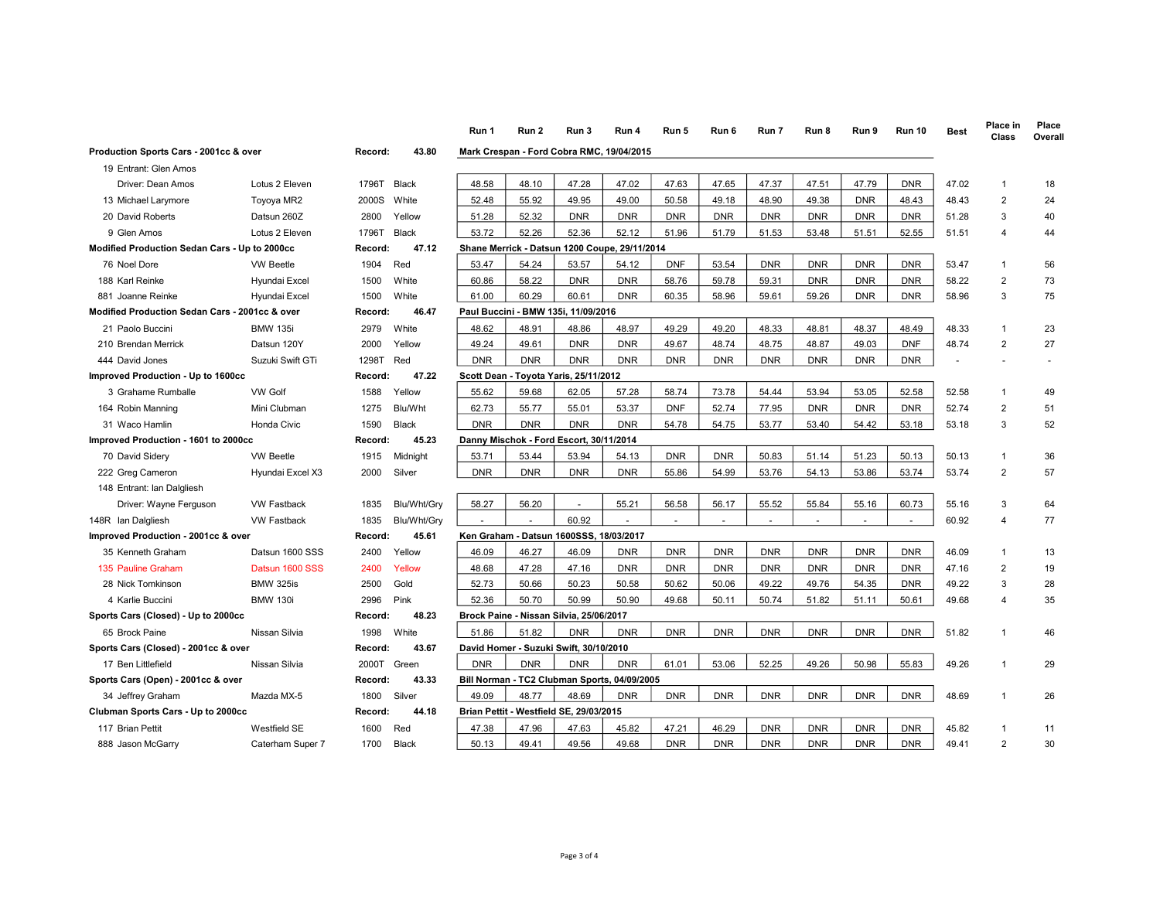|                                                |                    |         |              | Run 1      | Run 2                                 | Run 3                                         | Run 4      | Run 5      | Run 6      | Run 7      | Run 8      | Run 9      | <b>Run 10</b> | <b>Best</b> | Place in<br>Class | Place<br>Overall |
|------------------------------------------------|--------------------|---------|--------------|------------|---------------------------------------|-----------------------------------------------|------------|------------|------------|------------|------------|------------|---------------|-------------|-------------------|------------------|
| Production Sports Cars - 2001cc & over         |                    | Record: | 43.80        |            |                                       | Mark Crespan - Ford Cobra RMC, 19/04/2015     |            |            |            |            |            |            |               |             |                   |                  |
| 19 Entrant: Glen Amos                          |                    |         |              |            |                                       |                                               |            |            |            |            |            |            |               |             |                   |                  |
| Driver: Dean Amos                              | Lotus 2 Eleven     | 1796T   | Black        | 48.58      | 48.10                                 | 47.28                                         | 47.02      | 47.63      | 47.65      | 47.37      | 47.51      | 47.79      | <b>DNR</b>    | 47.02       | $\mathbf{1}$      | 18               |
| 13 Michael Larymore                            | Toyoya MR2         | 2000S   | White        | 52.48      | 55.92                                 | 49.95                                         | 49.00      | 50.58      | 49.18      | 48.90      | 49.38      | <b>DNR</b> | 48.43         | 48.43       | $\overline{2}$    | 24               |
| 20 David Roberts                               | Datsun 260Z        | 2800    | Yellow       | 51.28      | 52.32                                 | <b>DNR</b>                                    | <b>DNR</b> | <b>DNR</b> | <b>DNR</b> | <b>DNR</b> | <b>DNR</b> | <b>DNR</b> | <b>DNR</b>    | 51.28       | 3                 | 40               |
| 9 Glen Amos                                    | Lotus 2 Eleven     | 1796T   | Black        | 53.72      | 52.26                                 | 52.36                                         | 52.12      | 51.96      | 51.79      | 51.53      | 53.48      | 51.51      | 52.55         | 51.51       | $\overline{4}$    | 44               |
| Modified Production Sedan Cars - Up to 2000cc  |                    | Record: | 47.12        |            |                                       | Shane Merrick - Datsun 1200 Coupe, 29/11/2014 |            |            |            |            |            |            |               |             |                   |                  |
| 76 Noel Dore                                   | <b>VW Beetle</b>   | 1904    | Red          | 53.47      | 54.24                                 | 53.57                                         | 54.12      | <b>DNF</b> | 53.54      | <b>DNR</b> | <b>DNR</b> | <b>DNR</b> | <b>DNR</b>    | 53.47       | $\mathbf{1}$      | 56               |
| 188 Karl Reinke                                | Hyundai Excel      | 1500    | White        | 60.86      | 58.22                                 | <b>DNR</b>                                    | <b>DNR</b> | 58.76      | 59.78      | 59.31      | <b>DNR</b> | <b>DNR</b> | <b>DNR</b>    | 58.22       | 2                 | 73               |
| 881 Joanne Reinke                              | Hyundai Excel      | 1500    | White        | 61.00      | 60.29                                 | 60.61                                         | <b>DNR</b> | 60.35      | 58.96      | 59.61      | 59.26      | <b>DNR</b> | <b>DNR</b>    | 58.96       | 3                 | 75               |
| Modified Production Sedan Cars - 2001cc & over |                    | Record: | 46.47        |            |                                       | Paul Buccini - BMW 135i, 11/09/2016           |            |            |            |            |            |            |               |             |                   |                  |
| 21 Paolo Buccini                               | <b>BMW 135i</b>    | 2979    | White        | 48.62      | 48.91                                 | 48.86                                         | 48.97      | 49.29      | 49.20      | 48.33      | 48.81      | 48.37      | 48.49         | 48.33       | $\mathbf{1}$      | 23               |
| 210 Brendan Merrick                            | Datsun 120Y        | 2000    | Yellow       | 49.24      | 49.61                                 | <b>DNR</b>                                    | <b>DNR</b> | 49.67      | 48.74      | 48.75      | 48.87      | 49.03      | <b>DNF</b>    | 48.74       | $\overline{2}$    | 27               |
| 444 David Jones                                | Suzuki Swift GTi   | 1298T   | Red          | <b>DNR</b> | <b>DNR</b>                            | <b>DNR</b>                                    | <b>DNR</b> | <b>DNR</b> | <b>DNR</b> | <b>DNR</b> | <b>DNR</b> | <b>DNR</b> | <b>DNR</b>    |             |                   |                  |
| Improved Production - Up to 1600cc             | Record:            | 47.22   |              |            | Scott Dean - Toyota Yaris, 25/11/2012 |                                               |            |            |            |            |            |            |               |             |                   |                  |
| 3 Grahame Rumballe                             | <b>VW Golf</b>     | 1588    | Yellow       | 55.62      | 59.68                                 | 62.05                                         | 57.28      | 58.74      | 73.78      | 54.44      | 53.94      | 53.05      | 52.58         | 52.58       | $\mathbf{1}$      | 49               |
| 164 Robin Manning                              | Mini Clubman       | 1275    | Blu/Wht      | 62.73      | 55.77                                 | 55.01                                         | 53.37      | <b>DNF</b> | 52.74      | 77.95      | <b>DNR</b> | <b>DNR</b> | <b>DNR</b>    | 52.74       | $\overline{2}$    | 51               |
| 31 Waco Hamlin                                 | Honda Civic        | 1590    | <b>Black</b> | <b>DNR</b> | <b>DNR</b>                            | <b>DNR</b>                                    | <b>DNR</b> | 54.78      | 54.75      | 53.77      | 53.40      | 54.42      | 53.18         | 53.18       | 3                 | 52               |
| Improved Production - 1601 to 2000cc           |                    | Record: | 45.23        |            |                                       | Danny Mischok - Ford Escort, 30/11/2014       |            |            |            |            |            |            |               |             |                   |                  |
| 70 David Sidery                                | <b>VW Beetle</b>   | 1915    | Midnight     | 53.71      | 53.44                                 | 53.94                                         | 54.13      | <b>DNR</b> | <b>DNR</b> | 50.83      | 51.14      | 51.23      | 50.13         | 50.13       | $\mathbf{1}$      | 36               |
| 222 Greg Cameron                               | Hyundai Excel X3   | 2000    | Silver       | <b>DNR</b> | <b>DNR</b>                            | <b>DNR</b>                                    | <b>DNR</b> | 55.86      | 54.99      | 53.76      | 54.13      | 53.86      | 53.74         | 53.74       | $\overline{2}$    | 57               |
| 148 Entrant: Ian Dalgliesh                     |                    |         |              |            |                                       |                                               |            |            |            |            |            |            |               |             |                   |                  |
| Driver: Wayne Ferguson                         | <b>VW Fastback</b> | 1835    | Blu/Wht/Gry  | 58.27      | 56.20                                 | $\overline{a}$                                | 55.21      | 56.58      | 56.17      | 55.52      | 55.84      | 55.16      | 60.73         | 55.16       | 3                 | 64               |
| 148R Ian Dalgliesh                             | <b>VW Fastback</b> | 1835    | Blu/Wht/Gry  |            |                                       | 60.92                                         |            |            |            |            |            |            |               | 60.92       | $\overline{4}$    | 77               |
| Improved Production - 2001cc & over            |                    | Record: | 45.61        |            |                                       | Ken Graham - Datsun 1600SSS, 18/03/2017       |            |            |            |            |            |            |               |             |                   |                  |
| 35 Kenneth Graham                              | Datsun 1600 SSS    | 2400    | Yellow       | 46.09      | 46.27                                 | 46.09                                         | <b>DNR</b> | <b>DNR</b> | <b>DNR</b> | <b>DNR</b> | <b>DNR</b> | <b>DNR</b> | <b>DNR</b>    | 46.09       | $\mathbf{1}$      | 13               |
| 135 Pauline Graham                             | Datsun 1600 SSS    | 2400    | Yellow       | 48.68      | 47.28                                 | 47.16                                         | <b>DNR</b> | <b>DNR</b> | <b>DNR</b> | <b>DNR</b> | <b>DNR</b> | <b>DNR</b> | <b>DNR</b>    | 47.16       | $\overline{2}$    | 19               |
| 28 Nick Tomkinson                              | <b>BMW 325is</b>   | 2500    | Gold         | 52.73      | 50.66                                 | 50.23                                         | 50.58      | 50.62      | 50.06      | 49.22      | 49.76      | 54.35      | <b>DNR</b>    | 49.22       | 3                 | 28               |
| 4 Karlie Buccini                               | <b>BMW 130i</b>    | 2996    | Pink         | 52.36      | 50.70                                 | 50.99                                         | 50.90      | 49.68      | 50.11      | 50.74      | 51.82      | 51.11      | 50.61         | 49.68       | $\overline{4}$    | 35               |
| Sports Cars (Closed) - Up to 2000cc            |                    | Record: | 48.23        |            |                                       | Brock Paine - Nissan Silvia, 25/06/2017       |            |            |            |            |            |            |               |             |                   |                  |
| 65 Brock Paine                                 | Nissan Silvia      | 1998    | White        | 51.86      | 51.82                                 | <b>DNR</b>                                    | <b>DNR</b> | <b>DNR</b> | <b>DNR</b> | <b>DNR</b> | <b>DNR</b> | <b>DNR</b> | <b>DNR</b>    | 51.82       | $\mathbf{1}$      | 46               |
| Sports Cars (Closed) - 2001cc & over           |                    | Record: | 43.67        |            |                                       | David Homer - Suzuki Swift, 30/10/2010        |            |            |            |            |            |            |               |             |                   |                  |
| 17 Ben Littlefield                             | Nissan Silvia      | 2000T   | Green        | <b>DNR</b> | <b>DNR</b>                            | <b>DNR</b>                                    | <b>DNR</b> | 61.01      | 53.06      | 52.25      | 49.26      | 50.98      | 55.83         | 49.26       | $\mathbf{1}$      | 29               |
| Sports Cars (Open) - 2001cc & over             |                    | Record: | 43.33        |            |                                       | Bill Norman - TC2 Clubman Sports, 04/09/2005  |            |            |            |            |            |            |               |             |                   |                  |
| 34 Jeffrey Graham                              | Mazda MX-5         | 1800    | Silver       | 49.09      | 48.77                                 | 48.69                                         | <b>DNR</b> | <b>DNR</b> | <b>DNR</b> | <b>DNR</b> | <b>DNR</b> | <b>DNR</b> | <b>DNR</b>    | 48.69       | $\mathbf{1}$      | 26               |
| Clubman Sports Cars - Up to 2000cc             |                    | Record: | 44.18        |            |                                       | Brian Pettit - Westfield SE, 29/03/2015       |            |            |            |            |            |            |               |             |                   |                  |
| 117 Brian Pettit                               | Westfield SE       | 1600    | Red          | 47.38      | 47.96                                 | 47.63                                         | 45.82      | 47.21      | 46.29      | <b>DNR</b> | <b>DNR</b> | <b>DNR</b> | <b>DNR</b>    | 45.82       | $\mathbf{1}$      | 11               |
|                                                |                    |         |              |            |                                       | 49.56                                         |            | <b>DNR</b> | <b>DNR</b> | <b>DNR</b> |            | <b>DNR</b> |               |             |                   |                  |
| 888 Jason McGarry                              | Caterham Super 7   | 1700    | <b>Black</b> | 50.13      | 49.41                                 |                                               | 49.68      |            |            |            | <b>DNR</b> |            | <b>DNR</b>    | 49.41       | $\overline{2}$    | 30               |

## Page 3 of 4